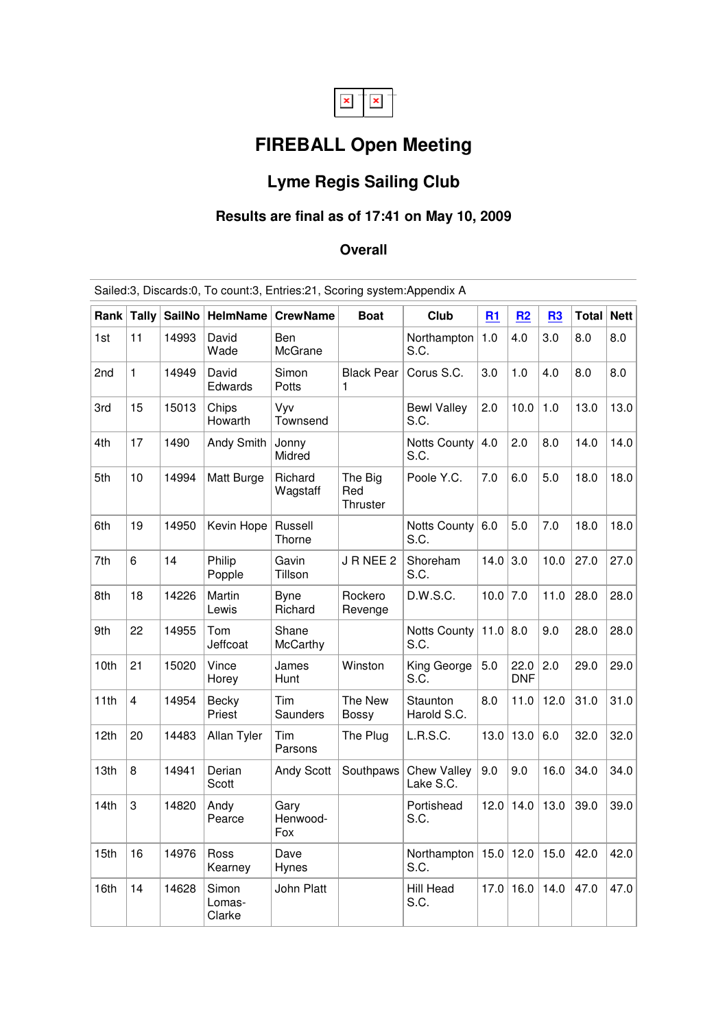

# **FIREBALL Open Meeting**

## **Lyme Regis Sailing Club**

### **Results are final as of 17:41 on May 10, 2009**

#### **Overall**

| Rank | Tally | <b>SailNo</b> | <b>HelmName</b>           | <b>CrewName</b>          | <b>Boat</b>                | Club                            | R1   | R2                 | R3   | Total | <b>Nett</b> |
|------|-------|---------------|---------------------------|--------------------------|----------------------------|---------------------------------|------|--------------------|------|-------|-------------|
| 1st  | 11    | 14993         | David<br>Wade             | Ben<br>McGrane           |                            | Northampton<br>S.C.             | 1.0  | 4.0                | 3.0  | 8.0   | 8.0         |
| 2nd  | 1     | 14949         | David<br>Edwards          | Simon<br>Potts           | <b>Black Pear</b><br>1     | Corus S.C.                      | 3.0  | 1.0                | 4.0  | 8.0   | 8.0         |
| 3rd  | 15    | 15013         | Chips<br>Howarth          | Vyv<br>Townsend          |                            | <b>Bewl Valley</b><br>S.C.      | 2.0  | 10.0               | 1.0  | 13.0  | 13.0        |
| 4th  | 17    | 1490          | Andy Smith                | Jonny<br>Midred          |                            | <b>Notts County</b><br>S.C.     | 4.0  | 2.0                | 8.0  | 14.0  | 14.0        |
| 5th  | 10    | 14994         | Matt Burge                | Richard<br>Wagstaff      | The Big<br>Red<br>Thruster | Poole Y.C.                      | 7.0  | 6.0                | 5.0  | 18.0  | 18.0        |
| 6th  | 19    | 14950         | Kevin Hope                | Russell<br>Thorne        |                            | Notts County<br>S.C.            | 6.0  | 5.0                | 7.0  | 18.0  | 18.0        |
| 7th  | 6     | 14            | Philip<br>Popple          | Gavin<br>Tillson         | JRNEE 2                    | Shoreham<br>S.C.                | 14.0 | 3.0                | 10.0 | 27.0  | 27.0        |
| 8th  | 18    | 14226         | Martin<br>Lewis           | <b>B</b> vne<br>Richard  | Rockero<br>Revenge         | D.W.S.C.                        | 10.0 | 7.0                | 11.0 | 28.0  | 28.0        |
| 9th  | 22    | 14955         | Tom<br>Jeffcoat           | Shane<br><b>McCarthy</b> |                            | Notts County<br>S.C.            | 11.0 | 8.0                | 9.0  | 28.0  | 28.0        |
| 10th | 21    | 15020         | Vince<br>Horey            | James<br>Hunt            | Winston                    | King George<br>S.C.             | 5.0  | 22.0<br><b>DNF</b> | 2.0  | 29.0  | 29.0        |
| 11th | 4     | 14954         | Becky<br>Priest           | Tim<br>Saunders          | The New<br><b>Bossy</b>    | Staunton<br>Harold S.C.         | 8.0  | 11.0               | 12.0 | 31.0  | 31.0        |
| 12th | 20    | 14483         | Allan Tyler               | Tim<br>Parsons           | The Plug                   | L.R.S.C.                        | 13.0 | 13.0               | 6.0  | 32.0  | 32.0        |
| 13th | 8     | 14941         | Derian<br>Scott           | Andy Scott               | Southpaws                  | <b>Chew Valley</b><br>Lake S.C. | 9.0  | 9.0                | 16.0 | 34.0  | 34.0        |
| 14th | 3     | 14820         | Andy<br>Pearce            | Gary<br>Henwood-<br>Fox  |                            | Portishead<br>S.C.              | 12.0 | 14.0               | 13.0 | 39.0  | 39.0        |
| 15th | 16    | 14976         | Ross<br>Kearney           | Dave<br>Hynes            |                            | Northampton<br>S.C.             | 15.0 | 12.0               | 15.0 | 42.0  | 42.0        |
| 16th | 14    | 14628         | Simon<br>Lomas-<br>Clarke | John Platt               |                            | Hill Head<br>S.C.               | 17.0 | 16.0               | 14.0 | 47.0  | 47.0        |

Sailed:3, Discards:0, To count:3, Entries:21, Scoring system:Appendix A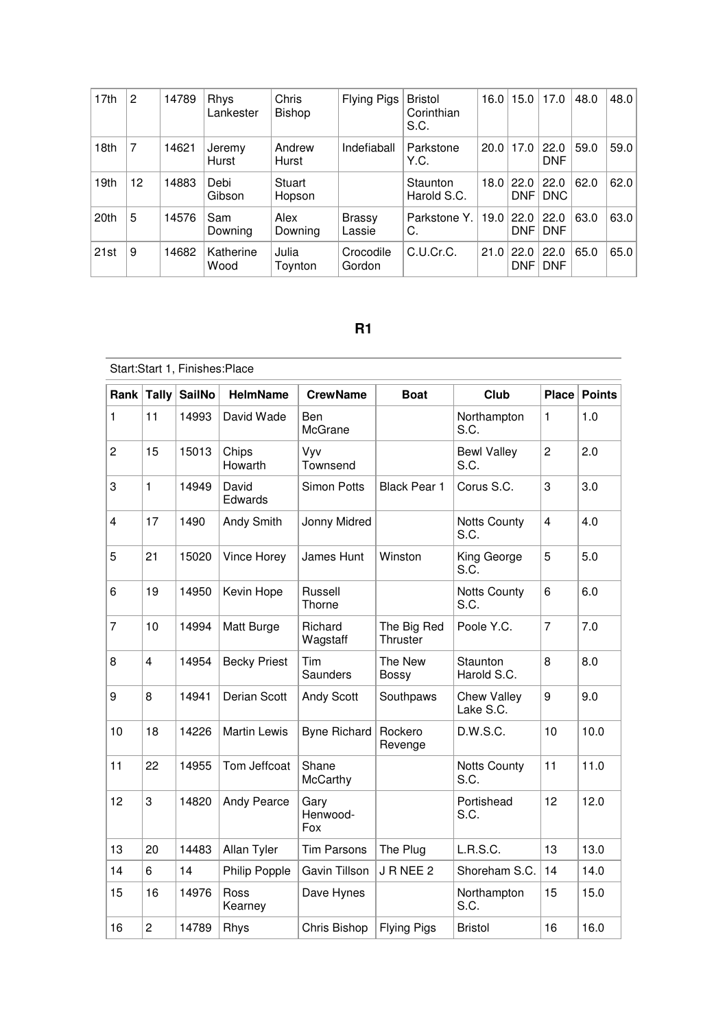| 17th | $\overline{2}$ | 14789 | Rhys<br>Lankester | Chris<br>Bishop  | Flying Pigs             | <b>Bristol</b><br>Corinthian<br>S.C. | 16.0 | 15.0               | 17.0               | 48.0 | 48.0 |
|------|----------------|-------|-------------------|------------------|-------------------------|--------------------------------------|------|--------------------|--------------------|------|------|
| 18th | 7              | 14621 | Jeremy<br>Hurst   | Andrew<br>Hurst  | Indefiaball             | Parkstone<br>Y.C.                    | 20.0 | 17.0               | 22.0<br><b>DNF</b> | 59.0 | 59.0 |
| 19th | 12             | 14883 | Debi<br>Gibson    | Stuart<br>Hopson |                         | Staunton<br>Harold S.C.              | 18.0 | 22.0<br><b>DNF</b> | 22.0<br><b>DNC</b> | 62.0 | 62.0 |
| 20th | 5              | 14576 | Sam<br>Downing    | Alex<br>Downing  | <b>Brassy</b><br>Lassie | Parkstone Y.<br>C.                   | 19.0 | 22.0<br><b>DNF</b> | 22.0<br><b>DNF</b> | 63.0 | 63.0 |
| 21st | 9              | 14682 | Katherine<br>Wood | Julia<br>Toynton | Crocodile<br>Gordon     | C.U.Cr.C.                            | 21.0 | 22.0<br><b>DNF</b> | 22.0<br><b>DNF</b> | 65.0 | 65.0 |

#### **R1**

|                | Start:Start 1, Finishes:Place |               |                     |                         |                         |                                 |                |               |  |  |  |
|----------------|-------------------------------|---------------|---------------------|-------------------------|-------------------------|---------------------------------|----------------|---------------|--|--|--|
| Rank           | Tally                         | <b>SailNo</b> | <b>HelmName</b>     | <b>CrewName</b>         | <b>Boat</b>             | Club                            | <b>Place</b>   | <b>Points</b> |  |  |  |
| 1              | 11                            | 14993         | David Wade          | Ben<br>McGrane          |                         | Northampton<br>S.C.             | 1              | 1.0           |  |  |  |
| $\overline{c}$ | 15                            | 15013         | Chips<br>Howarth    | Vyv<br>Townsend         |                         | <b>Bewl Valley</b><br>S.C.      | $\overline{c}$ | 2.0           |  |  |  |
| 3              | $\mathbf{1}$                  | 14949         | David<br>Edwards    | Simon Potts             | <b>Black Pear 1</b>     | Corus S.C.                      | 3              | 3.0           |  |  |  |
| 4              | 17                            | 1490          | Andy Smith          | Jonny Midred            |                         | <b>Notts County</b><br>S.C.     | $\overline{4}$ | 4.0           |  |  |  |
| 5              | 21                            | 15020         | Vince Horey         | James Hunt              | Winston                 | King George<br>S.C.             | 5              | 5.0           |  |  |  |
| 6              | 19                            | 14950         | Kevin Hope          | Russell<br>Thorne       |                         | <b>Notts County</b><br>S.C.     | 6              | 6.0           |  |  |  |
| 7              | 10                            | 14994         | Matt Burge          | Richard<br>Wagstaff     | The Big Red<br>Thruster | Poole Y.C.                      | $\overline{7}$ | 7.0           |  |  |  |
| 8              | $\overline{4}$                | 14954         | <b>Becky Priest</b> | Tim<br>Saunders         | The New<br><b>Bossy</b> | Staunton<br>Harold S.C.         | 8              | 8.0           |  |  |  |
| 9              | 8                             | 14941         | Derian Scott        | <b>Andy Scott</b>       | Southpaws               | <b>Chew Valley</b><br>Lake S.C. | 9              | 9.0           |  |  |  |
| 10             | 18                            | 14226         | <b>Martin Lewis</b> | <b>Byne Richard</b>     | Rockero<br>Revenge      | D.W.S.C.                        | 10             | 10.0          |  |  |  |
| 11             | 22                            | 14955         | Tom Jeffcoat        | Shane<br>McCarthy       |                         | <b>Notts County</b><br>S.C.     | 11             | 11.0          |  |  |  |
| 12             | 3                             | 14820         | <b>Andy Pearce</b>  | Gary<br>Henwood-<br>Fox |                         | Portishead<br>S.C.              | 12             | 12.0          |  |  |  |
| 13             | 20                            | 14483         | Allan Tyler         | <b>Tim Parsons</b>      | The Plug                | L.R.S.C.                        | 13             | 13.0          |  |  |  |
| 14             | 6                             | 14            | Philip Popple       | Gavin Tillson           | JRNEE 2                 | Shoreham S.C.                   | 14             | 14.0          |  |  |  |
| 15             | 16                            | 14976         | Ross<br>Kearney     | Dave Hynes              |                         | Northampton<br>S.C.             | 15             | 15.0          |  |  |  |
| 16             | $\overline{c}$                | 14789         | Rhys                | Chris Bishop            | <b>Flying Pigs</b>      | <b>Bristol</b>                  | 16             | 16.0          |  |  |  |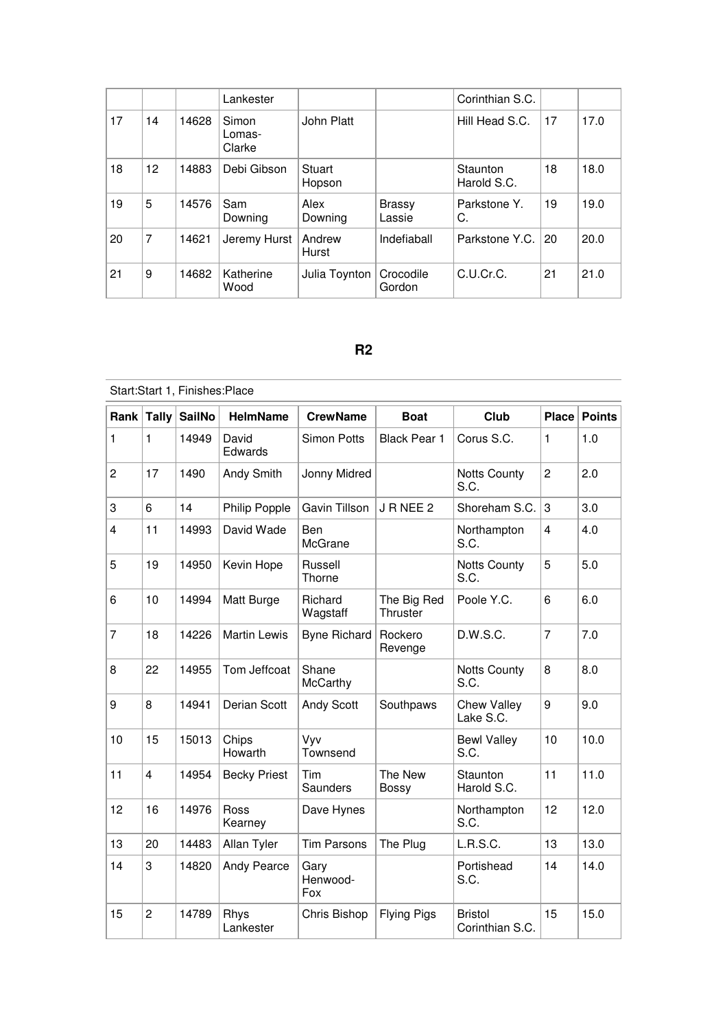|    |    |       | Lankester                 |                  |                         | Corinthian S.C.         |     |      |
|----|----|-------|---------------------------|------------------|-------------------------|-------------------------|-----|------|
| 17 | 14 | 14628 | Simon<br>Lomas-<br>Clarke | John Platt       |                         | Hill Head S.C.          | 17  | 17.0 |
| 18 | 12 | 14883 | Debi Gibson               | Stuart<br>Hopson |                         | Staunton<br>Harold S.C. | 18  | 18.0 |
| 19 | 5  | 14576 | Sam<br>Downing            | Alex<br>Downing  | <b>Brassy</b><br>Lassie | Parkstone Y.<br>C.      | 19  | 19.0 |
| 20 | 7  | 14621 | Jeremy Hurst              | Andrew<br>Hurst  | Indefiaball             | Parkstone Y.C.          | -20 | 20.0 |
| 21 | 9  | 14682 | Katherine<br>Wood         | Julia Toynton    | Crocodile<br>Gordon     | C.U.Cr.C.               | 21  | 21.0 |

### **R2**

|                | Start:Start 1, Finishes:Place |               |                     |                         |                         |                                   |                         |               |  |  |  |
|----------------|-------------------------------|---------------|---------------------|-------------------------|-------------------------|-----------------------------------|-------------------------|---------------|--|--|--|
|                | Rank Tally                    | <b>SailNo</b> | <b>HelmName</b>     | <b>CrewName</b>         | <b>Boat</b>             | Club                              | <b>Place</b>            | <b>Points</b> |  |  |  |
| 1              | $\mathbf{1}$                  | 14949         | David<br>Edwards    | <b>Simon Potts</b>      | <b>Black Pear 1</b>     | Corus S.C.                        | 1                       | 1.0           |  |  |  |
| $\overline{c}$ | 17                            | 1490          | Andy Smith          | Jonny Midred            |                         | <b>Notts County</b><br>S.C.       | $\overline{c}$          | 2.0           |  |  |  |
| 3              | 6                             | 14            | Philip Popple       | Gavin Tillson           | JRNEE 2                 | Shoreham S.C.                     | 3                       | 3.0           |  |  |  |
| 4              | 11                            | 14993         | David Wade          | Ben<br>McGrane          |                         | Northampton<br>S.C.               | $\overline{\mathbf{4}}$ | 4.0           |  |  |  |
| 5              | 19                            | 14950         | Kevin Hope          | Russell<br>Thorne       |                         | <b>Notts County</b><br>S.C.       | 5                       | 5.0           |  |  |  |
| 6              | 10                            | 14994         | Matt Burge          | Richard<br>Wagstaff     | The Big Red<br>Thruster | Poole Y.C.                        | 6                       | 6.0           |  |  |  |
| 7              | 18                            | 14226         | <b>Martin Lewis</b> | <b>Byne Richard</b>     | Rockero<br>Revenge      | D.W.S.C.                          | $\overline{7}$          | 7.0           |  |  |  |
| 8              | 22                            | 14955         | Tom Jeffcoat        | Shane<br>McCarthy       |                         | <b>Notts County</b><br>S.C.       | 8                       | 8.0           |  |  |  |
| 9              | 8                             | 14941         | Derian Scott        | Andy Scott              | Southpaws               | <b>Chew Valley</b><br>Lake S.C.   | 9                       | 9.0           |  |  |  |
| 10             | 15                            | 15013         | Chips<br>Howarth    | Vyv<br>Townsend         |                         | <b>Bewl Valley</b><br>S.C.        | 10                      | 10.0          |  |  |  |
| 11             | $\overline{\mathbf{4}}$       | 14954         | <b>Becky Priest</b> | Tim<br>Saunders         | The New<br><b>Bossy</b> | Staunton<br>Harold S.C.           | 11                      | 11.0          |  |  |  |
| 12             | 16                            | 14976         | Ross<br>Kearney     | Dave Hynes              |                         | Northampton<br>S.C.               | 12                      | 12.0          |  |  |  |
| 13             | 20                            | 14483         | Allan Tyler         | <b>Tim Parsons</b>      | The Plug                | L.R.S.C.                          | 13                      | 13.0          |  |  |  |
| 14             | 3                             | 14820         | <b>Andy Pearce</b>  | Gary<br>Henwood-<br>Fox |                         | Portishead<br>S.C.                | 14                      | 14.0          |  |  |  |
| 15             | $\overline{2}$                | 14789         | Rhys<br>Lankester   | Chris Bishop            | <b>Flying Pigs</b>      | <b>Bristol</b><br>Corinthian S.C. | 15                      | 15.0          |  |  |  |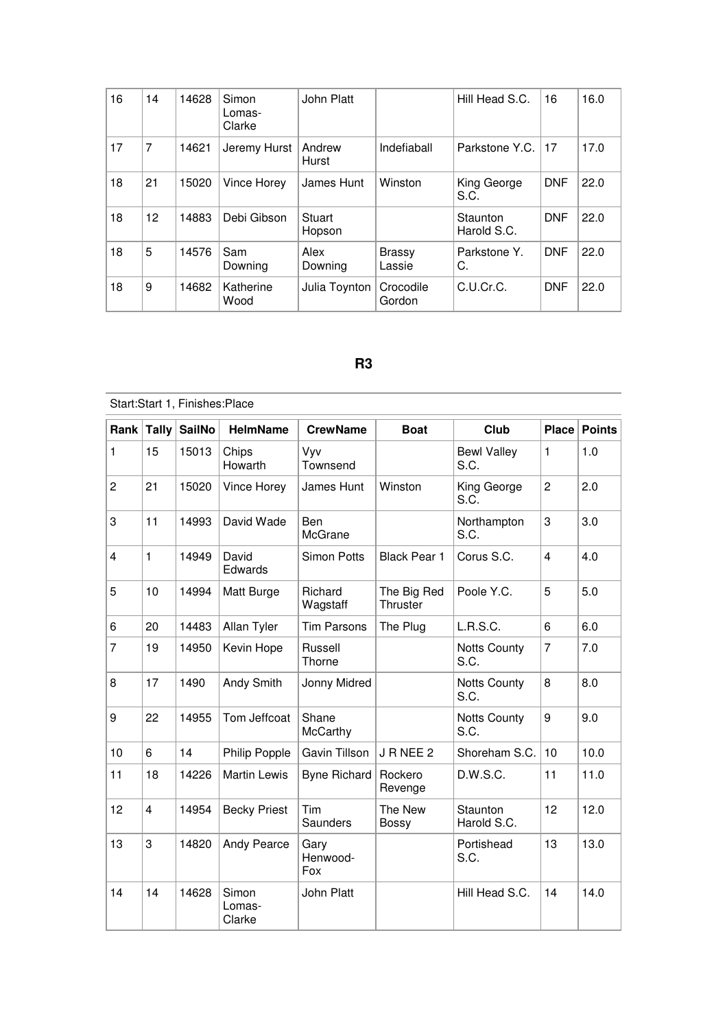| 16 | 14 | 14628 | Simon<br>Lomas-<br>Clarke | John Platt       |                         | Hill Head S.C.          | 16         | 16.0 |
|----|----|-------|---------------------------|------------------|-------------------------|-------------------------|------------|------|
| 17 | 7  | 14621 | Jeremy Hurst              | Andrew<br>Hurst  | Indefiaball             | Parkstone Y.C.          | 17         | 17.0 |
| 18 | 21 | 15020 | Vince Horey               | James Hunt       | Winston                 | King George<br>S.C.     | <b>DNF</b> | 22.0 |
| 18 | 12 | 14883 | Debi Gibson               | Stuart<br>Hopson |                         | Staunton<br>Harold S.C. | <b>DNF</b> | 22.0 |
| 18 | 5  | 14576 | Sam<br>Downing            | Alex<br>Downing  | <b>Brassy</b><br>Lassie | Parkstone Y.<br>C.      | <b>DNF</b> | 22.0 |
| 18 | 9  | 14682 | Katherine<br>Wood         | Julia Toynton    | Crocodile<br>Gordon     | C.U.Cr.C.               | <b>DNF</b> | 22.0 |

## **R3**

|                | Start:Start 1, Finishes:Place |               |                           |                         |                         |                             |                         |               |  |  |  |
|----------------|-------------------------------|---------------|---------------------------|-------------------------|-------------------------|-----------------------------|-------------------------|---------------|--|--|--|
| Rank           | <b>Tally</b>                  | <b>SailNo</b> | <b>HelmName</b>           | <b>CrewName</b>         | <b>Boat</b>             | Club                        | <b>Place</b>            | <b>Points</b> |  |  |  |
| 1              | 15                            | 15013         | Chips<br>Howarth          | Vyv<br>Townsend         |                         | <b>Bewl Valley</b><br>S.C.  | 1                       | 1.0           |  |  |  |
| $\overline{c}$ | 21                            | 15020         | Vince Horey               | James Hunt              | Winston                 | King George<br>S.C.         | $\overline{c}$          | 2.0           |  |  |  |
| 3              | 11                            | 14993         | David Wade                | Ben<br>McGrane          |                         | Northampton<br>S.C.         | 3                       | 3.0           |  |  |  |
| 4              | $\mathbf{1}$                  | 14949         | David<br>Edwards          | <b>Simon Potts</b>      | <b>Black Pear 1</b>     | Corus S.C.                  | $\overline{\mathbf{4}}$ | 4.0           |  |  |  |
| 5              | 10                            | 14994         | Matt Burge                | Richard<br>Wagstaff     | The Big Red<br>Thruster | Poole Y.C.                  | 5                       | 5.0           |  |  |  |
| 6              | 20                            | 14483         | Allan Tyler               | <b>Tim Parsons</b>      | The Plug                | <b>L.R.S.C.</b>             | 6                       | 6.0           |  |  |  |
| 7              | 19                            | 14950         | Kevin Hope                | Russell<br>Thorne       |                         | <b>Notts County</b><br>S.C. | 7                       | 7.0           |  |  |  |
| 8              | 17                            | 1490          | Andy Smith                | Jonny Midred            |                         | <b>Notts County</b><br>S.C. | 8                       | 8.0           |  |  |  |
| 9              | 22                            | 14955         | Tom Jeffcoat              | Shane<br>McCarthy       |                         | <b>Notts County</b><br>S.C. | 9                       | 9.0           |  |  |  |
| 10             | 6                             | 14            | Philip Popple             | Gavin Tillson           | JRNEE 2                 | Shoreham S.C.               | 10                      | 10.0          |  |  |  |
| 11             | 18                            | 14226         | <b>Martin Lewis</b>       | <b>Byne Richard</b>     | Rockero<br>Revenge      | D.W.S.C.                    | 11                      | 11.0          |  |  |  |
| 12             | $\overline{4}$                | 14954         | <b>Becky Priest</b>       | Tim<br>Saunders         | The New<br><b>Bossy</b> | Staunton<br>Harold S.C.     | 12                      | 12.0          |  |  |  |
| 13             | 3                             | 14820         | Andy Pearce               | Gary<br>Henwood-<br>Fox |                         | Portishead<br>S.C.          | 13                      | 13.0          |  |  |  |
| 14             | 14                            | 14628         | Simon<br>Lomas-<br>Clarke | John Platt              |                         | Hill Head S.C.              | 14                      | 14.0          |  |  |  |